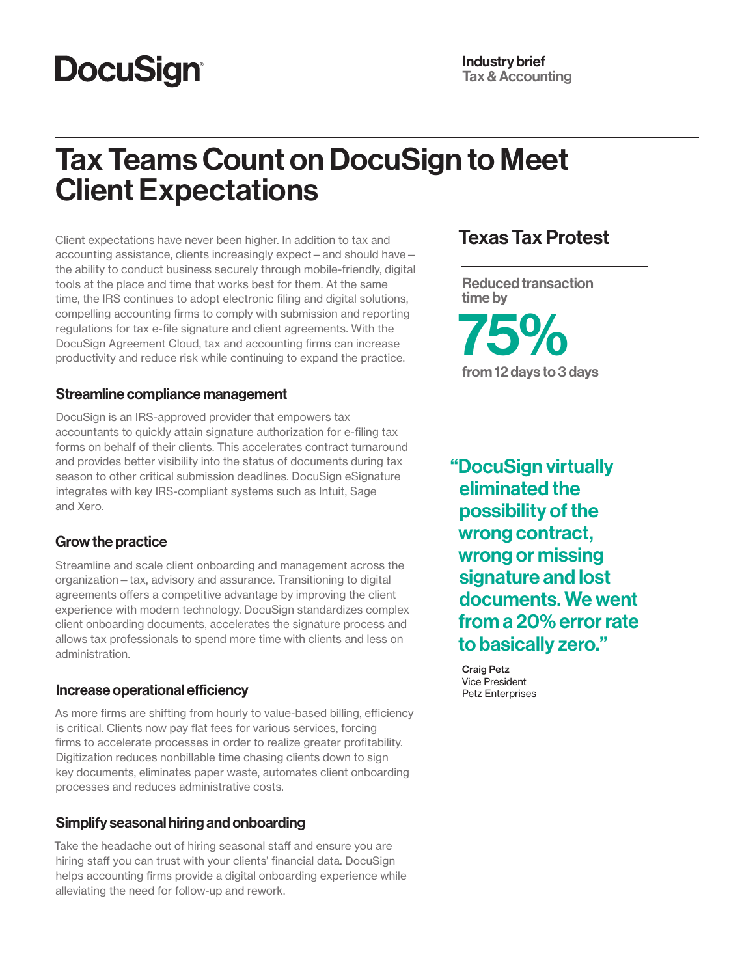# **DocuSign®**

# Tax Teams Count on DocuSign to Meet Client Expectations

Client expectations have never been higher. In addition to tax and accounting assistance, clients increasingly expect—and should have the ability to conduct business securely through mobile-friendly, digital tools at the place and time that works best for them. At the same time, the IRS continues to adopt electronic filing and digital solutions, compelling accounting firms to comply with submission and reporting regulations for tax e-file signature and client agreements. With the DocuSign Agreement Cloud, tax and accounting firms can increase productivity and reduce risk while continuing to expand the practice.

#### Streamline compliance management

DocuSign is an IRS-approved provider that empowers tax accountants to quickly attain signature authorization for e-filing tax forms on behalf of their clients. This accelerates contract turnaround and provides better visibility into the status of documents during tax season to other critical submission deadlines. DocuSign eSignature integrates with key IRS-compliant systems such as Intuit, Sage and Xero.

#### Grow the practice

Streamline and scale client onboarding and management across the organization—tax, advisory and assurance. Transitioning to digital agreements offers a competitive advantage by improving the client experience with modern technology. DocuSign standardizes complex client onboarding documents, accelerates the signature process and allows tax professionals to spend more time with clients and less on administration.

#### Increase operational efficiency

As more firms are shifting from hourly to value-based billing, efficiency is critical. Clients now pay flat fees for various services, forcing firms to accelerate processes in order to realize greater profitability. Digitization reduces nonbillable time chasing clients down to sign key documents, eliminates paper waste, automates client onboarding processes and reduces administrative costs.

#### Simplify seasonal hiring and onboarding

Take the headache out of hiring seasonal staff and ensure you are hiring staff you can trust with your clients' financial data. DocuSign helps accounting firms provide a digital onboarding experience while alleviating the need for follow-up and rework.

## Texas Tax Protest

Reduced transaction time by 75% from 12 days to 3 days

"DocuSign virtually eliminated the possibility of the wrong contract, wrong or missing signature and lost documents. We went from a 20% error rate to basically zero."

Craig Petz Vice President Petz Enterprises